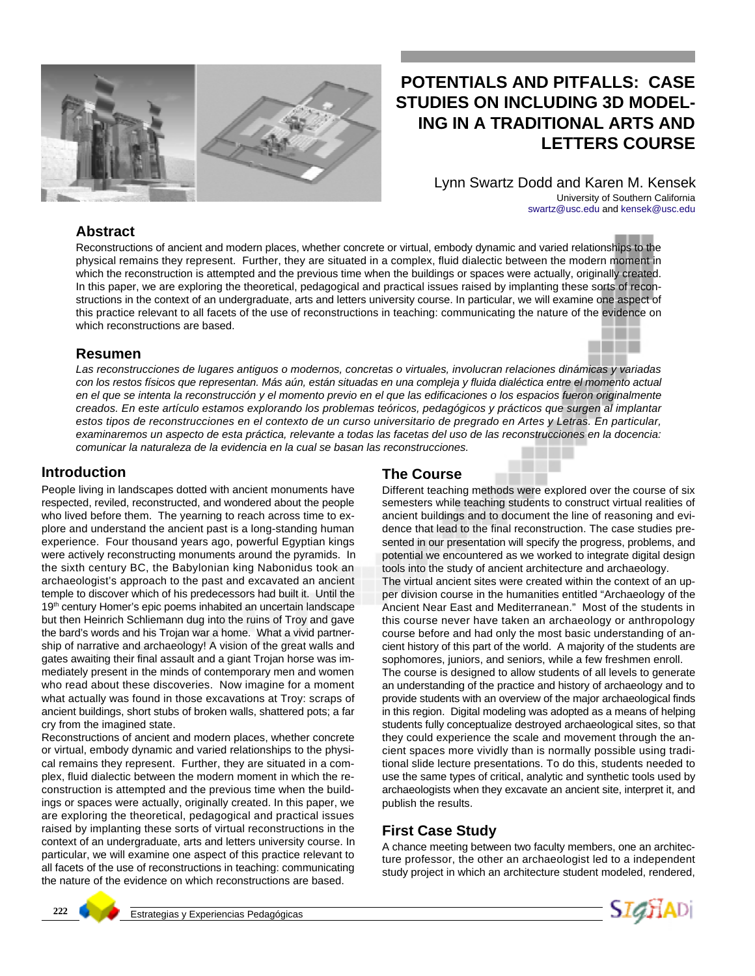

# **POTENTIALS AND PITFALLS: CASE STUDIES ON INCLUDING 3D MODEL-ING IN A TRADITIONAL ARTS AND LETTERS COURSE**

Lynn Swartz Dodd and Karen M. Kensek University of Southern California swartz@usc.edu and kensek@usc.edu

### **Abstract**

Reconstructions of ancient and modern places, whether concrete or virtual, embody dynamic and varied relationships to the physical remains they represent. Further, they are situated in a complex, fluid dialectic between the modern moment in which the reconstruction is attempted and the previous time when the buildings or spaces were actually, originally created. In this paper, we are exploring the theoretical, pedagogical and practical issues raised by implanting these sorts of reconstructions in the context of an undergraduate, arts and letters university course. In particular, we will examine one aspect of this practice relevant to all facets of the use of reconstructions in teaching: communicating the nature of the evidence on which reconstructions are based.

#### **Resumen**

*Las reconstrucciones de lugares antiguos o modernos, concretas o virtuales, involucran relaciones dinámicas y variadas con los restos físicos que representan. Más aún, están situadas en una compleja y fluida dialéctica entre el momento actual en el que se intenta la reconstrucción y el momento previo en el que las edificaciones o los espacios fueron originalmente creados. En este artículo estamos explorando los problemas teóricos, pedagógicos y prácticos que surgen al implantar estos tipos de reconstrucciones en el contexto de un curso universitario de pregrado en Artes y Letras. En particular, examinaremos un aspecto de esta práctica, relevante a todas las facetas del uso de las reconstrucciones en la docencia: comunicar la naturaleza de la evidencia en la cual se basan las reconstrucciones.*

#### **Introduction**

People living in landscapes dotted with ancient monuments have respected, reviled, reconstructed, and wondered about the people who lived before them. The yearning to reach across time to explore and understand the ancient past is a long-standing human experience. Four thousand years ago, powerful Egyptian kings were actively reconstructing monuments around the pyramids. In the sixth century BC, the Babylonian king Nabonidus took an archaeologist's approach to the past and excavated an ancient temple to discover which of his predecessors had built it. Until the 19<sup>th</sup> century Homer's epic poems inhabited an uncertain landscape but then Heinrich Schliemann dug into the ruins of Troy and gave the bard's words and his Trojan war a home. What a vivid partnership of narrative and archaeology! A vision of the great walls and gates awaiting their final assault and a giant Trojan horse was immediately present in the minds of contemporary men and women who read about these discoveries. Now imagine for a moment what actually was found in those excavations at Troy: scraps of ancient buildings, short stubs of broken walls, shattered pots; a far cry from the imagined state.

Reconstructions of ancient and modern places, whether concrete or virtual, embody dynamic and varied relationships to the physical remains they represent. Further, they are situated in a complex, fluid dialectic between the modern moment in which the reconstruction is attempted and the previous time when the buildings or spaces were actually, originally created. In this paper, we are exploring the theoretical, pedagogical and practical issues raised by implanting these sorts of virtual reconstructions in the context of an undergraduate, arts and letters university course. In particular, we will examine one aspect of this practice relevant to all facets of the use of reconstructions in teaching: communicating the nature of the evidence on which reconstructions are based.

### **The Course**

Different teaching methods were explored over the course of six semesters while teaching students to construct virtual realities of ancient buildings and to document the line of reasoning and evidence that lead to the final reconstruction. The case studies presented in our presentation will specify the progress, problems, and potential we encountered as we worked to integrate digital design tools into the study of ancient architecture and archaeology. The virtual ancient sites were created within the context of an upper division course in the humanities entitled "Archaeology of the Ancient Near East and Mediterranean." Most of the students in this course never have taken an archaeology or anthropology course before and had only the most basic understanding of ancient history of this part of the world. A majority of the students are sophomores, juniors, and seniors, while a few freshmen enroll. The course is designed to allow students of all levels to generate an understanding of the practice and history of archaeology and to provide students with an overview of the major archaeological finds in this region. Digital modeling was adopted as a means of helping students fully conceptualize destroyed archaeological sites, so that

they could experience the scale and movement through the ancient spaces more vividly than is normally possible using traditional slide lecture presentations. To do this, students needed to use the same types of critical, analytic and synthetic tools used by archaeologists when they excavate an ancient site, interpret it, and publish the results.

### **First Case Study**

A chance meeting between two faculty members, one an architecture professor, the other an archaeologist led to a independent study project in which an architecture student modeled, rendered,

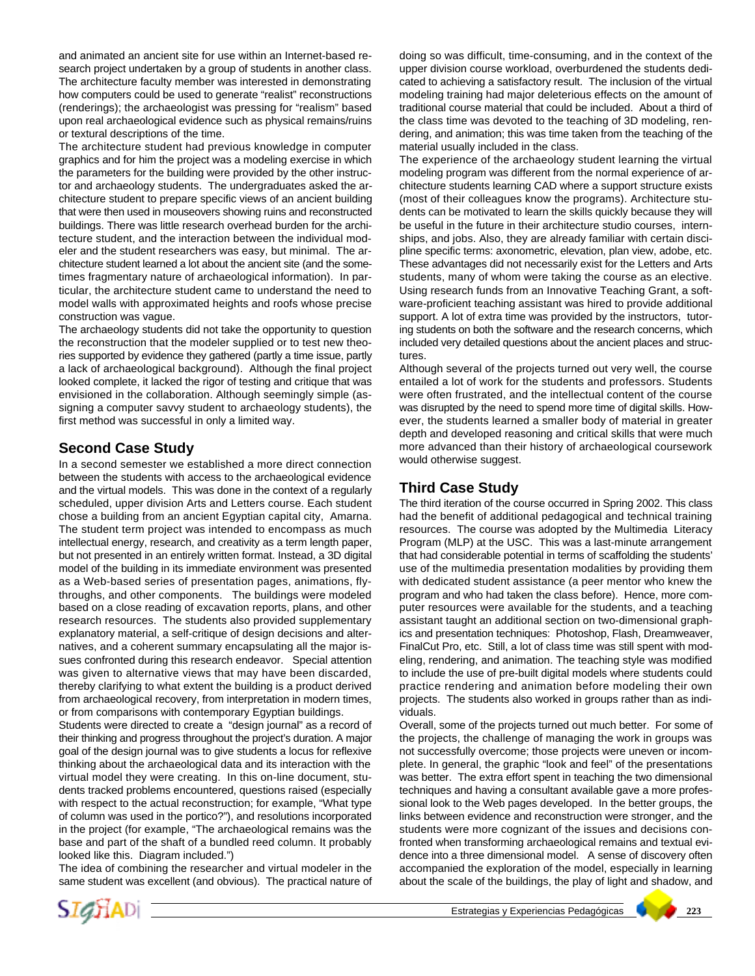and animated an ancient site for use within an Internet-based research project undertaken by a group of students in another class. The architecture faculty member was interested in demonstrating how computers could be used to generate "realist" reconstructions (renderings); the archaeologist was pressing for "realism" based upon real archaeological evidence such as physical remains/ruins or textural descriptions of the time.

The architecture student had previous knowledge in computer graphics and for him the project was a modeling exercise in which the parameters for the building were provided by the other instructor and archaeology students. The undergraduates asked the architecture student to prepare specific views of an ancient building that were then used in mouseovers showing ruins and reconstructed buildings. There was little research overhead burden for the architecture student, and the interaction between the individual modeler and the student researchers was easy, but minimal. The architecture student learned a lot about the ancient site (and the sometimes fragmentary nature of archaeological information). In particular, the architecture student came to understand the need to model walls with approximated heights and roofs whose precise construction was vague.

The archaeology students did not take the opportunity to question the reconstruction that the modeler supplied or to test new theories supported by evidence they gathered (partly a time issue, partly a lack of archaeological background). Although the final project looked complete, it lacked the rigor of testing and critique that was envisioned in the collaboration. Although seemingly simple (assigning a computer savvy student to archaeology students), the first method was successful in only a limited way.

### **Second Case Study**

In a second semester we established a more direct connection between the students with access to the archaeological evidence and the virtual models. This was done in the context of a regularly scheduled, upper division Arts and Letters course. Each student chose a building from an ancient Egyptian capital city, Amarna. The student term project was intended to encompass as much intellectual energy, research, and creativity as a term length paper, but not presented in an entirely written format. Instead, a 3D digital model of the building in its immediate environment was presented as a Web-based series of presentation pages, animations, flythroughs, and other components. The buildings were modeled based on a close reading of excavation reports, plans, and other research resources. The students also provided supplementary explanatory material, a self-critique of design decisions and alternatives, and a coherent summary encapsulating all the major issues confronted during this research endeavor. Special attention was given to alternative views that may have been discarded, thereby clarifying to what extent the building is a product derived from archaeological recovery, from interpretation in modern times, or from comparisons with contemporary Egyptian buildings.

Students were directed to create a "design journal" as a record of their thinking and progress throughout the project's duration. A major goal of the design journal was to give students a locus for reflexive thinking about the archaeological data and its interaction with the virtual model they were creating. In this on-line document, students tracked problems encountered, questions raised (especially with respect to the actual reconstruction; for example, "What type of column was used in the portico?"), and resolutions incorporated in the project (for example, "The archaeological remains was the base and part of the shaft of a bundled reed column. It probably looked like this. Diagram included.")

The idea of combining the researcher and virtual modeler in the same student was excellent (and obvious). The practical nature of doing so was difficult, time-consuming, and in the context of the upper division course workload, overburdened the students dedicated to achieving a satisfactory result. The inclusion of the virtual modeling training had major deleterious effects on the amount of traditional course material that could be included. About a third of the class time was devoted to the teaching of 3D modeling, rendering, and animation; this was time taken from the teaching of the material usually included in the class.

The experience of the archaeology student learning the virtual modeling program was different from the normal experience of architecture students learning CAD where a support structure exists (most of their colleagues know the programs). Architecture students can be motivated to learn the skills quickly because they will be useful in the future in their architecture studio courses, internships, and jobs. Also, they are already familiar with certain discipline specific terms: axonometric, elevation, plan view, adobe, etc. These advantages did not necessarily exist for the Letters and Arts students, many of whom were taking the course as an elective. Using research funds from an Innovative Teaching Grant, a software-proficient teaching assistant was hired to provide additional support. A lot of extra time was provided by the instructors, tutoring students on both the software and the research concerns, which included very detailed questions about the ancient places and structures.

Although several of the projects turned out very well, the course entailed a lot of work for the students and professors. Students were often frustrated, and the intellectual content of the course was disrupted by the need to spend more time of digital skills. However, the students learned a smaller body of material in greater depth and developed reasoning and critical skills that were much more advanced than their history of archaeological coursework would otherwise suggest.

## **Third Case Study**

The third iteration of the course occurred in Spring 2002. This class had the benefit of additional pedagogical and technical training resources. The course was adopted by the Multimedia Literacy Program (MLP) at the USC. This was a last-minute arrangement that had considerable potential in terms of scaffolding the students' use of the multimedia presentation modalities by providing them with dedicated student assistance (a peer mentor who knew the program and who had taken the class before). Hence, more computer resources were available for the students, and a teaching assistant taught an additional section on two-dimensional graphics and presentation techniques: Photoshop, Flash, Dreamweaver, FinalCut Pro, etc. Still, a lot of class time was still spent with modeling, rendering, and animation. The teaching style was modified to include the use of pre-built digital models where students could practice rendering and animation before modeling their own projects. The students also worked in groups rather than as individuals.

Overall, some of the projects turned out much better. For some of the projects, the challenge of managing the work in groups was not successfully overcome; those projects were uneven or incomplete. In general, the graphic "look and feel" of the presentations was better. The extra effort spent in teaching the two dimensional techniques and having a consultant available gave a more professional look to the Web pages developed. In the better groups, the links between evidence and reconstruction were stronger, and the students were more cognizant of the issues and decisions confronted when transforming archaeological remains and textual evidence into a three dimensional model. A sense of discovery often accompanied the exploration of the model, especially in learning about the scale of the buildings, the play of light and shadow, and